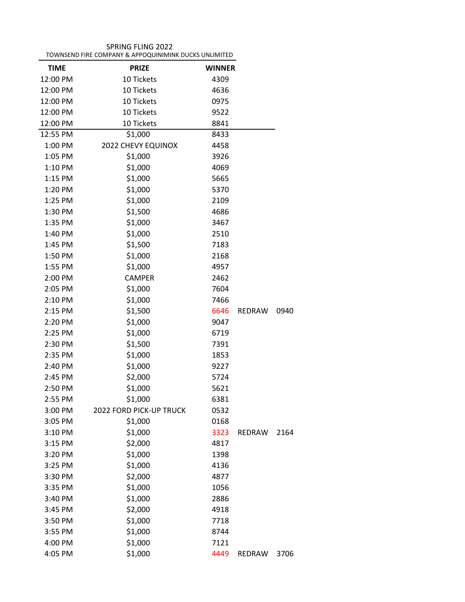| TOWNSEND FIRE COMPANY & APPOQUINIMINK DUCKS UNLIMITED |                         |               |               |      |
|-------------------------------------------------------|-------------------------|---------------|---------------|------|
| <b>TIME</b>                                           | <b>PRIZE</b>            | <b>WINNER</b> |               |      |
| 12:00 PM                                              | 10 Tickets              | 4309          |               |      |
| 12:00 PM                                              | 10 Tickets              | 4636          |               |      |
| 12:00 PM                                              | 10 Tickets              | 0975          |               |      |
| 12:00 PM                                              | 10 Tickets              | 9522          |               |      |
| 12:00 PM                                              | 10 Tickets              | 8841          |               |      |
| 12:55 PM                                              | \$1,000                 | 8433          |               |      |
| 1:00 PM                                               | 2022 CHEVY EQUINOX      | 4458          |               |      |
| 1:05 PM                                               | \$1,000                 | 3926          |               |      |
| 1:10 PM                                               | \$1,000                 | 4069          |               |      |
| 1:15 PM                                               | \$1,000                 | 5665          |               |      |
| 1:20 PM                                               | \$1,000                 | 5370          |               |      |
| 1:25 PM                                               | \$1,000                 | 2109          |               |      |
| 1:30 PM                                               | \$1,500                 | 4686          |               |      |
| 1:35 PM                                               | \$1,000                 | 3467          |               |      |
| 1:40 PM                                               | \$1,000                 | 2510          |               |      |
| 1:45 PM                                               | \$1,500                 | 7183          |               |      |
| 1:50 PM                                               | \$1,000                 | 2168          |               |      |
| 1:55 PM                                               | \$1,000                 | 4957          |               |      |
| 2:00 PM                                               | <b>CAMPER</b>           | 2462          |               |      |
| 2:05 PM                                               | \$1,000                 | 7604          |               |      |
| 2:10 PM                                               | \$1,000                 | 7466          |               |      |
| 2:15 PM                                               | \$1,500                 | 6646          | <b>REDRAW</b> | 0940 |
| 2:20 PM                                               | \$1,000                 | 9047          |               |      |
| 2:25 PM                                               | \$1,000                 | 6719          |               |      |
| 2:30 PM                                               | \$1,500                 | 7391          |               |      |
| 2:35 PM                                               | \$1,000                 | 1853          |               |      |
| 2:40 PM                                               | \$1,000                 | 9227          |               |      |
| 2:45 PM                                               | \$2,000                 | 5724          |               |      |
| 2:50 PM                                               | \$1,000                 | 5621          |               |      |
| 2:55 PM                                               | \$1,000                 | 6381          |               |      |
| 3:00 PM                                               | 2022 FORD PICK-UP TRUCK | 0532          |               |      |
| 3:05 PM                                               | \$1,000                 | 0168          |               |      |
| 3:10 PM                                               | \$1,000                 | 3323          | REDRAW        | 2164 |
| 3:15 PM                                               | \$2,000                 | 4817          |               |      |
| 3:20 PM                                               | \$1,000                 | 1398          |               |      |
| 3:25 PM                                               | \$1,000                 | 4136          |               |      |
| 3:30 PM                                               | \$2,000                 | 4877          |               |      |
| 3:35 PM                                               | \$1,000                 | 1056          |               |      |
| 3:40 PM                                               | \$1,000                 | 2886          |               |      |
| 3:45 PM                                               | \$2,000                 | 4918          |               |      |
| 3:50 PM                                               | \$1,000                 | 7718          |               |      |
| 3:55 PM                                               | \$1,000                 | 8744          |               |      |
| 4:00 PM                                               | \$1,000                 | 7121          |               |      |
| 4:05 PM                                               | \$1,000                 | 4449          | REDRAW        | 3706 |